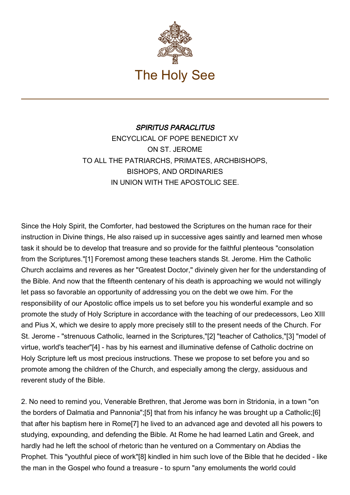

# SPIRITUS PARACLITUS ENCYCLICAL OF POPE BENEDICT XV ON ST. JEROME TO ALL THE PATRIARCHS, PRIMATES, ARCHBISHOPS, BISHOPS, AND ORDINARIES IN UNION WITH THE APOSTOLIC SEE.

Since the Holy Spirit, the Comforter, had bestowed the Scriptures on the human race for their instruction in Divine things, He also raised up in successive ages saintly and learned men whose task it should be to develop that treasure and so provide for the faithful plenteous "consolation from the Scriptures."[1] Foremost among these teachers stands St. Jerome. Him the Catholic Church acclaims and reveres as her "Greatest Doctor," divinely given her for the understanding of the Bible. And now that the fifteenth centenary of his death is approaching we would not willingly let pass so favorable an opportunity of addressing you on the debt we owe him. For the responsibility of our Apostolic office impels us to set before you his wonderful example and so promote the study of Holy Scripture in accordance with the teaching of our predecessors, Leo XIII and Pius X, which we desire to apply more precisely still to the present needs of the Church. For St. Jerome - "strenuous Catholic, learned in the Scriptures,"[2] "teacher of Catholics,"[3] "model of virtue, world's teacher"[4] - has by his earnest and illuminative defense of Catholic doctrine on Holy Scripture left us most precious instructions. These we propose to set before you and so promote among the children of the Church, and especially among the clergy, assiduous and reverent study of the Bible.

2. No need to remind you, Venerable Brethren, that Jerome was born in Stridonia, in a town "on the borders of Dalmatia and Pannonia";[5] that from his infancy he was brought up a Catholic;[6] that after his baptism here in Rome[7] he lived to an advanced age and devoted all his powers to studying, expounding, and defending the Bible. At Rome he had learned Latin and Greek, and hardly had he left the school of rhetoric than he ventured on a Commentary on Abdias the Prophet. This "youthful piece of work"[8] kindled in him such love of the Bible that he decided - like the man in the Gospel who found a treasure - to spurn "any emoluments the world could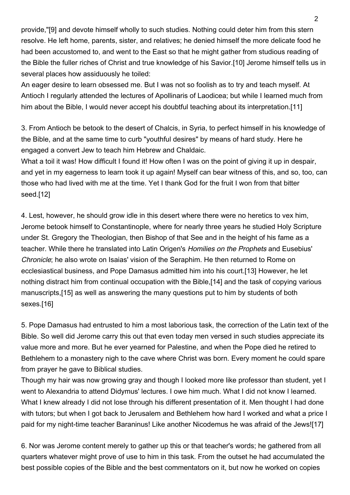provide,"[9] and devote himself wholly to such studies. Nothing could deter him from this stern resolve. He left home, parents, sister, and relatives; he denied himself the more delicate food he had been accustomed to, and went to the East so that he might gather from studious reading of the Bible the fuller riches of Christ and true knowledge of his Savior.[10] Jerome himself tells us in several places how assiduously he toiled:

An eager desire to learn obsessed me. But I was not so foolish as to try and teach myself. At Antioch I regularly attended the lectures of Apollinaris of Laodicea; but while I learned much from him about the Bible, I would never accept his doubtful teaching about its interpretation.[11]

3. From Antioch be betook to the desert of Chalcis, in Syria, to perfect himself in his knowledge of the Bible, and at the same time to curb "youthful desires" by means of hard study. Here he engaged a convert Jew to teach him Hebrew and Chaldaic.

What a toil it was! How difficult I found it! How often I was on the point of giving it up in despair. and yet in my eagerness to learn took it up again! Myself can bear witness of this, and so, too, can those who had lived with me at the time. Yet I thank God for the fruit I won from that bitter seed.[12]

4. Lest, however, he should grow idle in this desert where there were no heretics to vex him, Jerome betook himself to Constantinople, where for nearly three years he studied Holy Scripture under St. Gregory the Theologian, then Bishop of that See and in the height of his fame as a teacher. While there he translated into Latin Origen's Homilies on the Prophets and Eusebius' Chronicle; he also wrote on Isaias' vision of the Seraphim. He then returned to Rome on ecclesiastical business, and Pope Damasus admitted him into his court.[13] However, he let nothing distract him from continual occupation with the Bible,[14] and the task of copying various manuscripts,[15] as well as answering the many questions put to him by students of both sexes.[16]

5. Pope Damasus had entrusted to him a most laborious task, the correction of the Latin text of the Bible. So well did Jerome carry this out that even today men versed in such studies appreciate its value more and more. But he ever yearned for Palestine, and when the Pope died he retired to Bethlehem to a monastery nigh to the cave where Christ was born. Every moment he could spare from prayer he gave to Biblical studies.

Though my hair was now growing gray and though I looked more like professor than student, yet I went to Alexandria to attend Didymus' lectures. I owe him much. What I did not know I learned. What I knew already I did not lose through his different presentation of it. Men thought I had done with tutors; but when I got back to Jerusalem and Bethlehem how hard I worked and what a price I paid for my night-time teacher Baraninus! Like another Nicodemus he was afraid of the Jews![17]

6. Nor was Jerome content merely to gather up this or that teacher's words; he gathered from all quarters whatever might prove of use to him in this task. From the outset he had accumulated the best possible copies of the Bible and the best commentators on it, but now he worked on copies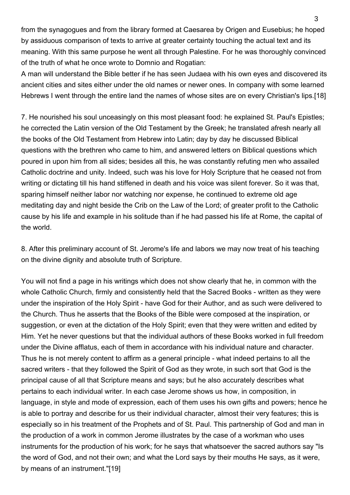from the synagogues and from the library formed at Caesarea by Origen and Eusebius; he hoped by assiduous comparison of texts to arrive at greater certainty touching the actual text and its meaning. With this same purpose he went all through Palestine. For he was thoroughly convinced of the truth of what he once wrote to Domnio and Rogatian:

A man will understand the Bible better if he has seen Judaea with his own eyes and discovered its ancient cities and sites either under the old names or newer ones. In company with some learned Hebrews I went through the entire land the names of whose sites are on every Christian's lips.[18]

7. He nourished his soul unceasingly on this most pleasant food: he explained St. Paul's Epistles; he corrected the Latin version of the Old Testament by the Greek; he translated afresh nearly all the books of the Old Testament from Hebrew into Latin; day by day he discussed Biblical questions with the brethren who came to him, and answered letters on Biblical questions which poured in upon him from all sides; besides all this, he was constantly refuting men who assailed Catholic doctrine and unity. Indeed, such was his love for Holy Scripture that he ceased not from writing or dictating till his hand stiffened in death and his voice was silent forever. So it was that, sparing himself neither labor nor watching nor expense, he continued to extreme old age meditating day and night beside the Crib on the Law of the Lord; of greater profit to the Catholic cause by his life and example in his solitude than if he had passed his life at Rome, the capital of the world.

8. After this preliminary account of St. Jerome's life and labors we may now treat of his teaching on the divine dignity and absolute truth of Scripture.

You will not find a page in his writings which does not show clearly that he, in common with the whole Catholic Church, firmly and consistently held that the Sacred Books - written as they were under the inspiration of the Holy Spirit - have God for their Author, and as such were delivered to the Church. Thus he asserts that the Books of the Bible were composed at the inspiration, or suggestion, or even at the dictation of the Holy Spirit; even that they were written and edited by Him. Yet he never questions but that the individual authors of these Books worked in full freedom under the Divine afflatus, each of them in accordance with his individual nature and character. Thus he is not merely content to affirm as a general principle - what indeed pertains to all the sacred writers - that they followed the Spirit of God as they wrote, in such sort that God is the principal cause of all that Scripture means and says; but he also accurately describes what pertains to each individual writer. In each case Jerome shows us how, in composition, in language, in style and mode of expression, each of them uses his own gifts and powers; hence he is able to portray and describe for us their individual character, almost their very features; this is especially so in his treatment of the Prophets and of St. Paul. This partnership of God and man in the production of a work in common Jerome illustrates by the case of a workman who uses instruments for the production of his work; for he says that whatsoever the sacred authors say "Is the word of God, and not their own; and what the Lord says by their mouths He says, as it were, by means of an instrument."[19]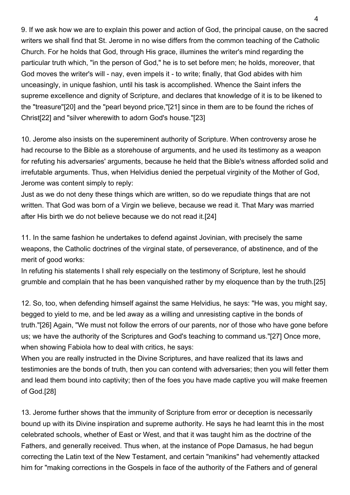9. If we ask how we are to explain this power and action of God, the principal cause, on the sacred writers we shall find that St. Jerome in no wise differs from the common teaching of the Catholic Church. For he holds that God, through His grace, illumines the writer's mind regarding the particular truth which, "in the person of God," he is to set before men; he holds, moreover, that God moves the writer's will - nay, even impels it - to write; finally, that God abides with him unceasingly, in unique fashion, until his task is accomplished. Whence the Saint infers the supreme excellence and dignity of Scripture, and declares that knowledge of it is to be likened to the "treasure"[20] and the "pearl beyond price,"[21] since in them are to be found the riches of Christ[22] and "silver wherewith to adorn God's house."[23]

10. Jerome also insists on the supereminent authority of Scripture. When controversy arose he had recourse to the Bible as a storehouse of arguments, and he used its testimony as a weapon for refuting his adversaries' arguments, because he held that the Bible's witness afforded solid and irrefutable arguments. Thus, when Helvidius denied the perpetual virginity of the Mother of God, Jerome was content simply to reply:

Just as we do not deny these things which are written, so do we repudiate things that are not written. That God was born of a Virgin we believe, because we read it. That Mary was married after His birth we do not believe because we do not read it.[24]

11. In the same fashion he undertakes to defend against Jovinian, with precisely the same weapons, the Catholic doctrines of the virginal state, of perseverance, of abstinence, and of the merit of good works:

In refuting his statements I shall rely especially on the testimony of Scripture, lest he should grumble and complain that he has been vanquished rather by my eloquence than by the truth.[25]

12. So, too, when defending himself against the same Helvidius, he says: "He was, you might say, begged to yield to me, and be led away as a willing and unresisting captive in the bonds of truth."[26] Again, "We must not follow the errors of our parents, nor of those who have gone before us; we have the authority of the Scriptures and God's teaching to command us."[27] Once more, when showing Fabiola how to deal with critics, he says:

When you are really instructed in the Divine Scriptures, and have realized that its laws and testimonies are the bonds of truth, then you can contend with adversaries; then you will fetter them and lead them bound into captivity; then of the foes you have made captive you will make freemen of God.[28]

13. Jerome further shows that the immunity of Scripture from error or deception is necessarily bound up with its Divine inspiration and supreme authority. He says he had learnt this in the most celebrated schools, whether of East or West, and that it was taught him as the doctrine of the Fathers, and generally received. Thus when, at the instance of Pope Damasus, he had begun correcting the Latin text of the New Testament, and certain "manikins" had vehemently attacked him for "making corrections in the Gospels in face of the authority of the Fathers and of general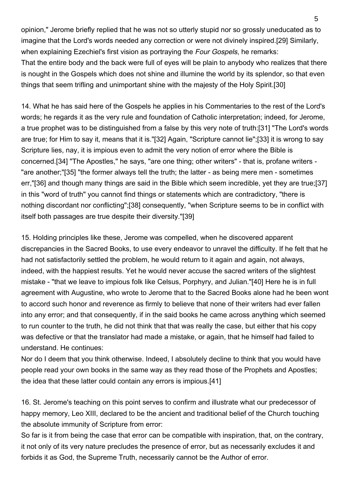opinion," Jerome briefly replied that he was not so utterly stupid nor so grossly uneducated as to imagine that the Lord's words needed any correction or were not divinely inspired.[29] Similarly, when explaining Ezechiel's first vision as portraying the Four Gospels, he remarks: That the entire body and the back were full of eyes will be plain to anybody who realizes that there is nought in the Gospels which does not shine and illumine the world by its splendor, so that even things that seem trifling and unimportant shine with the majesty of the Holy Spirit.[30]

14. What he has said here of the Gospels he applies in his Commentaries to the rest of the Lord's words; he regards it as the very rule and foundation of Catholic interpretation; indeed, for Jerome, a true prophet was to be distinguished from a false by this very note of truth:[31] "The Lord's words are true; for Him to say it, means that it is."[32] Again, "Scripture cannot lie";[33] it is wrong to say Scripture lies, nay, it is impious even to admit the very notion of error where the Bible is concerned.[34] "The Apostles," he says, "are one thing; other writers" - that is, profane writers - "are another;"[35] "the former always tell the truth; the latter - as being mere men - sometimes err,"[36] and though many things are said in the Bible which seem incredible, yet they are true;[37] in this "word of truth" you cannot find things or statements which are contradictory, "there is nothing discordant nor conflicting";[38] consequently, "when Scripture seems to be in conflict with itself both passages are true despite their diversity."[39]

15. Holding principles like these, Jerome was compelled, when he discovered apparent discrepancies in the Sacred Books, to use every endeavor to unravel the difficulty. If he felt that he had not satisfactorily settled the problem, he would return to it again and again, not always, indeed, with the happiest results. Yet he would never accuse the sacred writers of the slightest mistake - "that we leave to impious folk like Celsus, Porphyry, and Julian."[40] Here he is in full agreement with Augustine, who wrote to Jerome that to the Sacred Books alone had he been wont to accord such honor and reverence as firmly to believe that none of their writers had ever fallen into any error; and that consequently, if in the said books he came across anything which seemed to run counter to the truth, he did not think that that was really the case, but either that his copy was defective or that the translator had made a mistake, or again, that he himself had failed to understand. He continues:

Nor do I deem that you think otherwise. Indeed, I absolutely decline to think that you would have people read your own books in the same way as they read those of the Prophets and Apostles; the idea that these latter could contain any errors is impious.[41]

16. St. Jerome's teaching on this point serves to confirm and illustrate what our predecessor of happy memory, Leo XIII, declared to be the ancient and traditional belief of the Church touching the absolute immunity of Scripture from error:

So far is it from being the case that error can be compatible with inspiration, that, on the contrary, it not only of its very nature precludes the presence of error, but as necessarily excludes it and forbids it as God, the Supreme Truth, necessarily cannot be the Author of error.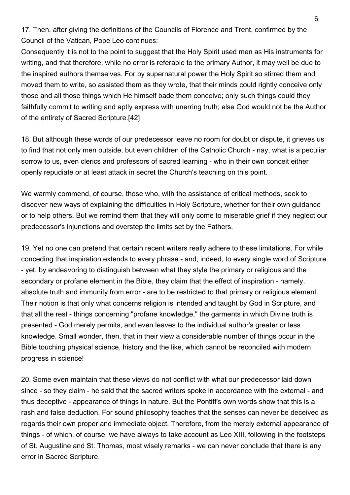17. Then, after giving the definitions of the Councils of Florence and Trent, confirmed by the Council of the Vatican, Pope Leo continues:

Consequently it is not to the point to suggest that the Holy Spirit used men as His instruments for writing, and that therefore, while no error is referable to the primary Author, it may well be due to the inspired authors themselves. For by supernatural power the Holy Spirit so stirred them and moved them to write, so assisted them as they wrote, that their minds could rightly conceive only those and all those things which He himself bade them conceive; only such things could they faithfully commit to writing and aptly express with unerring truth; else God would not be the Author of the entirety of Sacred Scripture.[42]

18. But although these words of our predecessor leave no room for doubt or dispute, it grieves us to find that not only men outside, but even children of the Catholic Church - nay, what is a peculiar sorrow to us, even clerics and professors of sacred learning - who in their own conceit either openly repudiate or at least attack in secret the Church's teaching on this point.

We warmly commend, of course, those who, with the assistance of critical methods, seek to discover new ways of explaining the difficulties in Holy Scripture, whether for their own guidance or to help others. But we remind them that they will only come to miserable grief if they neglect our predecessor's injunctions and overstep the limits set by the Fathers.

19. Yet no one can pretend that certain recent writers really adhere to these limitations. For while conceding that inspiration extends to every phrase - and, indeed, to every single word of Scripture - yet, by endeavoring to distinguish between what they style the primary or religious and the secondary or profane element in the Bible, they claim that the effect of inspiration - namely, absolute truth and immunity from error - are to be restricted to that primary or religious element. Their notion is that only what concerns religion is intended and taught by God in Scripture, and that all the rest - things concerning "profane knowledge," the garments in which Divine truth is presented - God merely permits, and even leaves to the individual author's greater or less knowledge. Small wonder, then, that in their view a considerable number of things occur in the Bible touching physical science, history and the like, which cannot be reconciled with modern progress in science!

20. Some even maintain that these views do not conflict with what our predecessor laid down since - so they claim - he said that the sacred writers spoke in accordance with the external - and thus deceptive - appearance of things in nature. But the Pontiff's own words show that this is a rash and false deduction. For sound philosophy teaches that the senses can never be deceived as regards their own proper and immediate object. Therefore, from the merely external appearance of things - of which, of course, we have always to take account as Leo XIII, following in the footsteps of St. Augustine and St. Thomas, most wisely remarks - we can never conclude that there is any error in Sacred Scripture.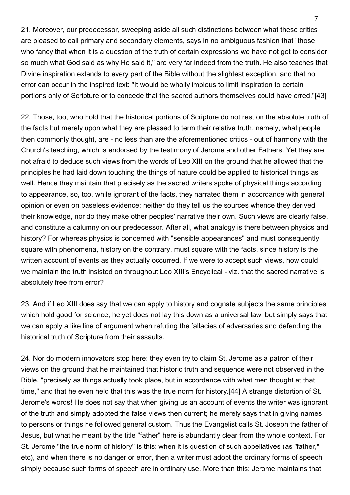21. Moreover, our predecessor, sweeping aside all such distinctions between what these critics are pleased to call primary and secondary elements, says in no ambiguous fashion that "those who fancy that when it is a question of the truth of certain expressions we have not got to consider so much what God said as why He said it," are very far indeed from the truth. He also teaches that Divine inspiration extends to every part of the Bible without the slightest exception, and that no error can occur in the inspired text: "It would be wholly impious to limit inspiration to certain portions only of Scripture or to concede that the sacred authors themselves could have erred."[43]

22. Those, too, who hold that the historical portions of Scripture do not rest on the absolute truth of the facts but merely upon what they are pleased to term their relative truth, namely, what people then commonly thought, are - no less than are the aforementioned critics - out of harmony with the Church's teaching, which is endorsed by the testimony of Jerome and other Fathers. Yet they are not afraid to deduce such views from the words of Leo XIII on the ground that he allowed that the principles he had laid down touching the things of nature could be applied to historical things as well. Hence they maintain that precisely as the sacred writers spoke of physical things according to appearance, so, too, while ignorant of the facts, they narrated them in accordance with general opinion or even on baseless evidence; neither do they tell us the sources whence they derived their knowledge, nor do they make other peoples' narrative their own. Such views are clearly false, and constitute a calumny on our predecessor. After all, what analogy is there between physics and history? For whereas physics is concerned with "sensible appearances" and must consequently square with phenomena, history on the contrary, must square with the facts, since history is the written account of events as they actually occurred. If we were to accept such views, how could we maintain the truth insisted on throughout Leo XIII's Encyclical - viz. that the sacred narrative is absolutely free from error?

23. And if Leo XIII does say that we can apply to history and cognate subjects the same principles which hold good for science, he yet does not lay this down as a universal law, but simply says that we can apply a like line of argument when refuting the fallacies of adversaries and defending the historical truth of Scripture from their assaults.

24. Nor do modern innovators stop here: they even try to claim St. Jerome as a patron of their views on the ground that he maintained that historic truth and sequence were not observed in the Bible, "precisely as things actually took place, but in accordance with what men thought at that time," and that he even held that this was the true norm for history.[44] A strange distortion of St. Jerome's words! He does not say that when giving us an account of events the writer was ignorant of the truth and simply adopted the false views then current; he merely says that in giving names to persons or things he followed general custom. Thus the Evangelist calls St. Joseph the father of Jesus, but what he meant by the title "father" here is abundantly clear from the whole context. For St. Jerome "the true norm of history" is this: when it is question of such appellatives (as "father," etc), and when there is no danger or error, then a writer must adopt the ordinary forms of speech simply because such forms of speech are in ordinary use. More than this: Jerome maintains that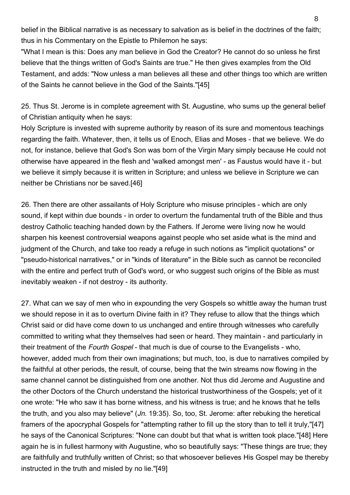belief in the Biblical narrative is as necessary to salvation as is belief in the doctrines of the faith; thus in his Commentary on the Epistle to Philemon he says:

"What I mean is this: Does any man believe in God the Creator? He cannot do so unless he first believe that the things written of God's Saints are true." He then gives examples from the Old Testament, and adds: "Now unless a man believes all these and other things too which are written of the Saints he cannot believe in the God of the Saints."[45]

25. Thus St. Jerome is in complete agreement with St. Augustine, who sums up the general belief of Christian antiquity when he says:

Holy Scripture is invested with supreme authority by reason of its sure and momentous teachings regarding the faith. Whatever, then, it tells us of Enoch, Elias and Moses - that we believe. We do not, for instance, believe that God's Son was born of the Virgin Mary simply because He could not otherwise have appeared in the flesh and 'walked amongst men' - as Faustus would have it - but we believe it simply because it is written in Scripture; and unless we believe in Scripture we can neither be Christians nor be saved.[46]

26. Then there are other assailants of Holy Scripture who misuse principles - which are only sound, if kept within due bounds - in order to overturn the fundamental truth of the Bible and thus destroy Catholic teaching handed down by the Fathers. If Jerome were living now he would sharpen his keenest controversial weapons against people who set aside what is the mind and judgment of the Church, and take too ready a refuge in such notions as "implicit quotations" or "pseudo-historical narratives," or in "kinds of literature" in the Bible such as cannot be reconciled with the entire and perfect truth of God's word, or who suggest such origins of the Bible as must inevitably weaken - if not destroy - its authority.

27. What can we say of men who in expounding the very Gospels so whittle away the human trust we should repose in it as to overturn Divine faith in it? They refuse to allow that the things which Christ said or did have come down to us unchanged and entire through witnesses who carefully committed to writing what they themselves had seen or heard. They maintain - and particularly in their treatment of the Fourth Gospel - that much is due of course to the Evangelists - who, however, added much from their own imaginations; but much, too, is due to narratives compiled by the faithful at other periods, the result, of course, being that the twin streams now flowing in the same channel cannot be distinguished from one another. Not thus did Jerome and Augustine and the other Doctors of the Church understand the historical trustworthiness of the Gospels; yet of it one wrote: "He who saw it has borne witness, and his witness is true; and he knows that he tells the truth, and you also may believe" (*Jn.* 19:35). So, too, St. Jerome: after rebuking the heretical framers of the apocryphal Gospels for "attempting rather to fill up the story than to tell it truly,"[47] he says of the Canonical Scriptures: "None can doubt but that what is written took place."[48] Here again he is in fullest harmony with Augustine, who so beautifully says: "These things are true; they are faithfully and truthfully written of Christ; so that whosoever believes His Gospel may be thereby instructed in the truth and misled by no lie."[49]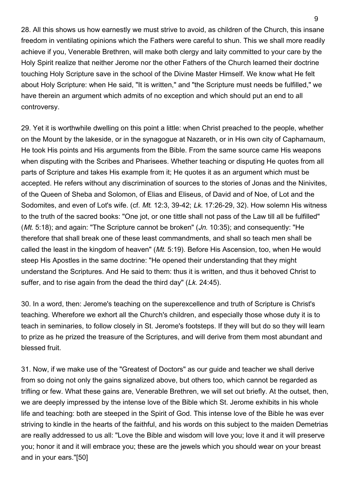28. All this shows us how earnestly we must strive to avoid, as children of the Church, this insane freedom in ventilating opinions which the Fathers were careful to shun. This we shall more readily achieve if you, Venerable Brethren, will make both clergy and laity committed to your care by the Holy Spirit realize that neither Jerome nor the other Fathers of the Church learned their doctrine touching Holy Scripture save in the school of the Divine Master Himself. We know what He felt about Holy Scripture: when He said, "It is written," and "the Scripture must needs be fulfilled," we have therein an argument which admits of no exception and which should put an end to all controversy.

29. Yet it is worthwhile dwelling on this point a little: when Christ preached to the people, whether on the Mount by the lakeside, or in the synagogue at Nazareth, or in His own city of Capharnaum, He took His points and His arguments from the Bible. From the same source came His weapons when disputing with the Scribes and Pharisees. Whether teaching or disputing He quotes from all parts of Scripture and takes His example from it; He quotes it as an argument which must be accepted. He refers without any discrimination of sources to the stories of Jonas and the Ninivites, of the Queen of Sheba and Solomon, of Elias and Eliseus, of David and of Noe, of Lot and the Sodomites, and even of Lot's wife. (cf. Mt. 12:3, 39-42; Lk. 17:26-29, 32). How solemn His witness to the truth of the sacred books: "One jot, or one tittle shall not pass of the Law till all be fulfilled" ( $Mt$ . 5:18); and again: "The Scripture cannot be broken" ( $Jn$ . 10:35); and consequently: "He therefore that shall break one of these least commandments, and shall so teach men shall be called the least in the kingdom of heaven" (Mt. 5:19). Before His Ascension, too, when He would steep His Apostles in the same doctrine: "He opened their understanding that they might understand the Scriptures. And He said to them: thus it is written, and thus it behoved Christ to suffer, and to rise again from the dead the third day" (Lk. 24:45).

30. In a word, then: Jerome's teaching on the superexcellence and truth of Scripture is Christ's teaching. Wherefore we exhort all the Church's children, and especially those whose duty it is to teach in seminaries, to follow closely in St. Jerome's footsteps. If they will but do so they will learn to prize as he prized the treasure of the Scriptures, and will derive from them most abundant and blessed fruit.

31. Now, if we make use of the "Greatest of Doctors" as our guide and teacher we shall derive from so doing not only the gains signalized above, but others too, which cannot be regarded as trifling or few. What these gains are, Venerable Brethren, we will set out briefly. At the outset, then, we are deeply impressed by the intense love of the Bible which St. Jerome exhibits in his whole life and teaching: both are steeped in the Spirit of God. This intense love of the Bible he was ever striving to kindle in the hearts of the faithful, and his words on this subject to the maiden Demetrias are really addressed to us all: "Love the Bible and wisdom will love you; love it and it will preserve you; honor it and it will embrace you; these are the jewels which you should wear on your breast and in your ears."[50]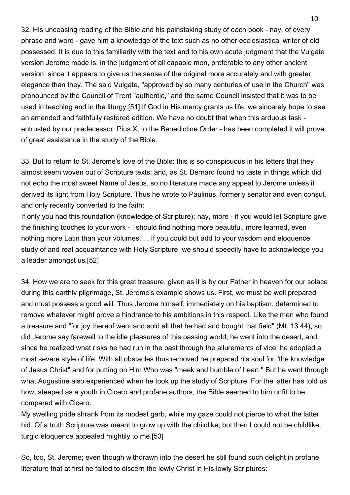32. His unceasing reading of the Bible and his painstaking study of each book - nay, of every phrase and word - gave him a knowledge of the text such as no other ecclesiastical writer of old possessed. It is due to this familiarity with the text and to his own acute judgment that the Vulgate version Jerome made is, in the judgment of all capable men, preferable to any other ancient version, since it appears to give us the sense of the original more accurately and with greater elegance than they. The said Vulgate, "approved by so many centuries of use in the Church" was pronounced by the Council of Trent "authentic," and the same Council insisted that it was to be used in teaching and in the liturgy.[51] If God in His mercy grants us life, we sincerely hope to see an amended and faithfully restored edition. We have no doubt that when this arduous task entrusted by our predecessor, Pius X, to the Benedictine Order - has been completed it will prove of great assistance in the study of the Bible.

33. But to return to St. Jerome's love of the Bible: this is so conspicuous in his letters that they almost seem woven out of Scripture texts; and, as St. Bernard found no taste in things which did not echo the most sweet Name of Jesus, so no literature made any appeal to Jerome unless it derived its light from Holy Scripture. Thus he wrote to Paulinus, formerly senator and even consul, and only recently converted to the faith:

If only you had this foundation (knowledge of Scripture); nay, more - if you would let Scripture give the finishing touches to your work - I should find nothing more beautiful, more learned, even nothing more Latin than your volumes. . . If you could but add to your wisdom and eloquence study of and real acquaintance with Holy Scripture, we should speedily have to acknowledge you a leader amongst us.[52]

34. How we are to seek for this great treasure, given as it is by our Father in heaven for our solace during this earthly pilgrimage, St. Jerome's example shows us. First, we must be well prepared and must possess a good will. Thus Jerome himself, immediately on his baptism, determined to remove whatever might prove a hindrance to his ambitions in this respect. Like the men who found a treasure and "for joy thereof went and sold all that he had and bought that field" (Mt. 13:44), so did Jerome say farewell to the idle pleasures of this passing world; he went into the desert, and since he realized what risks he had run in the past through the allurements of vice, he adopted a most severe style of life. With all obstacles thus removed he prepared his soul for "the knowledge of Jesus Christ" and for putting on Him Who was "meek and humble of heart." But he went through what Augustine also experienced when he took up the study of Scripture. For the latter has told us how, steeped as a youth in Cicero and profane authors, the Bible seemed to him unfit to be compared with Cicero.

My swelling pride shrank from its modest garb, while my gaze could not pierce to what the latter hid. Of a truth Scripture was meant to grow up with the childlike; but then I could not be childlike; turgid eloquence appealed mightily to me.[53]

So, too, St. Jerome; even though withdrawn into the desert he still found such delight in profane literature that at first he failed to discern the lowly Christ in His lowly Scriptures: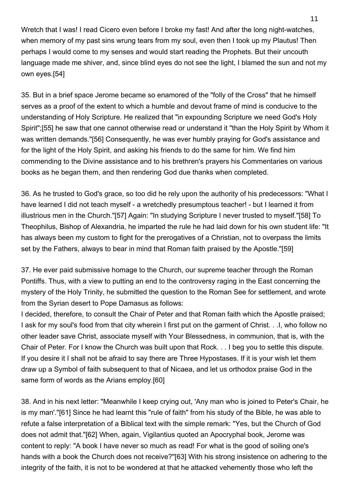Wretch that I was! I read Cicero even before I broke my fast! And after the long night-watches, when memory of my past sins wrung tears from my soul, even then I took up my Plautus! Then perhaps I would come to my senses and would start reading the Prophets. But their uncouth language made me shiver, and, since blind eyes do not see the light, I blamed the sun and not my own eyes.[54]

35. But in a brief space Jerome became so enamored of the "folly of the Cross" that he himself serves as a proof of the extent to which a humble and devout frame of mind is conducive to the understanding of Holy Scripture. He realized that "in expounding Scripture we need God's Holy Spirit";[55] he saw that one cannot otherwise read or understand it "than the Holy Spirit by Whom it was written demands."[56] Consequently, he was ever humbly praying for God's assistance and for the light of the Holy Spirit, and asking his friends to do the same for him. We find him commending to the Divine assistance and to his brethren's prayers his Commentaries on various books as he began them, and then rendering God due thanks when completed.

36. As he trusted to God's grace, so too did he rely upon the authority of his predecessors: "What I have learned I did not teach myself - a wretchedly presumptous teacher! - but I learned it from illustrious men in the Church."[57] Again: "In studying Scripture I never trusted to myself."[58] To Theophilus, Bishop of Alexandria, he imparted the rule he had laid down for his own student life: "It has always been my custom to fight for the prerogatives of a Christian, not to overpass the limits set by the Fathers, always to bear in mind that Roman faith praised by the Apostle."[59]

37. He ever paid submissive homage to the Church, our supreme teacher through the Roman Pontiffs. Thus, with a view to putting an end to the controversy raging in the East concerning the mystery of the Holy Trinity, he submitted the question to the Roman See for settlement, and wrote from the Syrian desert to Pope Damasus as follows:

I decided, therefore, to consult the Chair of Peter and that Roman faith which the Apostle praised; I ask for my soul's food from that city wherein I first put on the garment of Christ. . .I, who follow no other leader save Christ, associate myself with Your Blessedness, in communion, that is, with the Chair of Peter. For I know the Church was built upon that Rock. . . I beg you to settle this dispute. If you desire it I shall not be afraid to say there are Three Hypostases. If it is your wish let them draw up a Symbol of faith subsequent to that of Nicaea, and let us orthodox praise God in the same form of words as the Arians employ.[60]

38. And in his next letter: "Meanwhile I keep crying out, 'Any man who is joined to Peter's Chair, he is my man'."[61] Since he had learnt this "rule of faith" from his study of the Bible, he was able to refute a false interpretation of a Biblical text with the simple remark: "Yes, but the Church of God does not admit that."[62] When, again, Vigilantius quoted an Apocryphal book, Jerome was content to reply: "A book I have never so much as read! For what is the good of soiling one's hands with a book the Church does not receive?"[63] With his strong insistence on adhering to the integrity of the faith, it is not to be wondered at that he attacked vehemently those who left the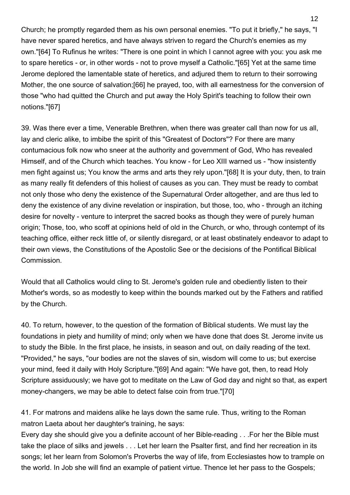Church; he promptly regarded them as his own personal enemies. "To put it briefly," he says, "I have never spared heretics, and have always striven to regard the Church's enemies as my own."[64] To Rufinus he writes: "There is one point in which I cannot agree with you: you ask me to spare heretics - or, in other words - not to prove myself a Catholic."[65] Yet at the same time Jerome deplored the lamentable state of heretics, and adjured them to return to their sorrowing Mother, the one source of salvation;[66] he prayed, too, with all earnestness for the conversion of those "who had quitted the Church and put away the Holy Spirit's teaching to follow their own notions."[67]

39. Was there ever a time, Venerable Brethren, when there was greater call than now for us all, lay and cleric alike, to imbibe the spirit of this "Greatest of Doctors"? For there are many contumacious folk now who sneer at the authority and government of God, Who has revealed Himself, and of the Church which teaches. You know - for Leo XIII warned us - "how insistently men fight against us; You know the arms and arts they rely upon."[68] It is your duty, then, to train as many really fit defenders of this holiest of causes as you can. They must be ready to combat not only those who deny the existence of the Supernatural Order altogether, and are thus led to deny the existence of any divine revelation or inspiration, but those, too, who - through an itching desire for novelty - venture to interpret the sacred books as though they were of purely human origin; Those, too, who scoff at opinions held of old in the Church, or who, through contempt of its teaching office, either reck little of, or silently disregard, or at least obstinately endeavor to adapt to their own views, the Constitutions of the Apostolic See or the decisions of the Pontifical Biblical Commission.

Would that all Catholics would cling to St. Jerome's golden rule and obediently listen to their Mother's words, so as modestly to keep within the bounds marked out by the Fathers and ratified by the Church.

40. To return, however, to the question of the formation of Biblical students. We must lay the foundations in piety and humility of mind; only when we have done that does St. Jerome invite us to study the Bible. In the first place, he insists, in season and out, on daily reading of the text. "Provided," he says, "our bodies are not the slaves of sin, wisdom will come to us; but exercise your mind, feed it daily with Holy Scripture."[69] And again: "We have got, then, to read Holy Scripture assiduously; we have got to meditate on the Law of God day and night so that, as expert money-changers, we may be able to detect false coin from true."[70]

41. For matrons and maidens alike he lays down the same rule. Thus, writing to the Roman matron Laeta about her daughter's training, he says:

Every day she should give you a definite account of her Bible-reading . . .For her the Bible must take the place of silks and jewels . . . Let her learn the Psalter first, and find her recreation in its songs; let her learn from Solomon's Proverbs the way of life, from Ecclesiastes how to trample on the world. In Job she will find an example of patient virtue. Thence let her pass to the Gospels;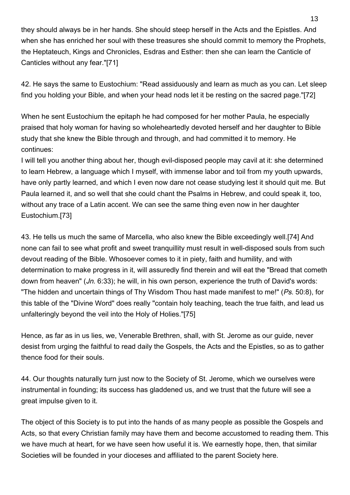they should always be in her hands. She should steep herself in the Acts and the Epistles. And when she has enriched her soul with these treasures she should commit to memory the Prophets, the Heptateuch, Kings and Chronicles, Esdras and Esther: then she can learn the Canticle of Canticles without any fear."[71]

42. He says the same to Eustochium: "Read assiduously and learn as much as you can. Let sleep find you holding your Bible, and when your head nods let it be resting on the sacred page."[72]

When he sent Eustochium the epitaph he had composed for her mother Paula, he especially praised that holy woman for having so wholeheartedly devoted herself and her daughter to Bible study that she knew the Bible through and through, and had committed it to memory. He continues:

I will tell you another thing about her, though evil-disposed people may cavil at it: she determined to learn Hebrew, a language which I myself, with immense labor and toil from my youth upwards, have only partly learned, and which I even now dare not cease studying lest it should quit me. But Paula learned it, and so well that she could chant the Psalms in Hebrew, and could speak it, too, without any trace of a Latin accent. We can see the same thing even now in her daughter Eustochium.[73]

43. He tells us much the same of Marcella, who also knew the Bible exceedingly well.[74] And none can fail to see what profit and sweet tranquillity must result in well-disposed souls from such devout reading of the Bible. Whosoever comes to it in piety, faith and humility, and with determination to make progress in it, will assuredly find therein and will eat the "Bread that cometh down from heaven"  $(Jn, 6:33)$ ; he will, in his own person, experience the truth of David's words: "The hidden and uncertain things of Thy Wisdom Thou hast made manifest to me!" (Ps. 50:8), for this table of the "Divine Word" does really "contain holy teaching, teach the true faith, and lead us unfalteringly beyond the veil into the Holy of Holies."[75]

Hence, as far as in us lies, we, Venerable Brethren, shall, with St. Jerome as our guide, never desist from urging the faithful to read daily the Gospels, the Acts and the Epistles, so as to gather thence food for their souls.

44. Our thoughts naturally turn just now to the Society of St. Jerome, which we ourselves were instrumental in founding; its success has gladdened us, and we trust that the future will see a great impulse given to it.

The object of this Society is to put into the hands of as many people as possible the Gospels and Acts, so that every Christian family may have them and become accustomed to reading them. This we have much at heart, for we have seen how useful it is. We earnestly hope, then, that similar Societies will be founded in your dioceses and affiliated to the parent Society here.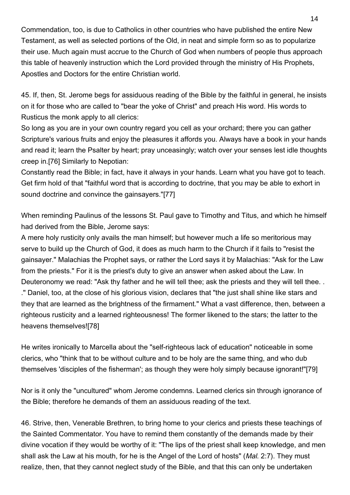Commendation, too, is due to Catholics in other countries who have published the entire New Testament, as well as selected portions of the Old, in neat and simple form so as to popularize their use. Much again must accrue to the Church of God when numbers of people thus approach this table of heavenly instruction which the Lord provided through the ministry of His Prophets, Apostles and Doctors for the entire Christian world.

45. If, then, St. Jerome begs for assiduous reading of the Bible by the faithful in general, he insists on it for those who are called to "bear the yoke of Christ" and preach His word. His words to Rusticus the monk apply to all clerics:

So long as you are in your own country regard you cell as your orchard; there you can gather Scripture's various fruits and enjoy the pleasures it affords you. Always have a book in your hands and read it; learn the Psalter by heart; pray unceasingly; watch over your senses lest idle thoughts creep in.[76] Similarly to Nepotian:

Constantly read the Bible; in fact, have it always in your hands. Learn what you have got to teach. Get firm hold of that "faithful word that is according to doctrine, that you may be able to exhort in sound doctrine and convince the gainsayers."[77]

When reminding Paulinus of the lessons St. Paul gave to Timothy and Titus, and which he himself had derived from the Bible, Jerome says:

A mere holy rusticity only avails the man himself; but however much a life so meritorious may serve to build up the Church of God, it does as much harm to the Church if it fails to "resist the gainsayer." Malachias the Prophet says, or rather the Lord says it by Malachias: "Ask for the Law from the priests." For it is the priest's duty to give an answer when asked about the Law. In Deuteronomy we read: "Ask thy father and he will tell thee; ask the priests and they will tell thee. . ." Daniel, too, at the close of his glorious vision, declares that "the just shall shine like stars and they that are learned as the brightness of the firmament." What a vast difference, then, between a righteous rusticity and a learned righteousness! The former likened to the stars; the latter to the heavens themselves![78]

He writes ironically to Marcella about the "self-righteous lack of education" noticeable in some clerics, who "think that to be without culture and to be holy are the same thing, and who dub themselves 'disciples of the fisherman'; as though they were holy simply because ignorant!"[79]

Nor is it only the "uncultured" whom Jerome condemns. Learned clerics sin through ignorance of the Bible; therefore he demands of them an assiduous reading of the text.

46. Strive, then, Venerable Brethren, to bring home to your clerics and priests these teachings of the Sainted Commentator. You have to remind them constantly of the demands made by their divine vocation if they would be worthy of it: "The lips of the priest shall keep knowledge, and men shall ask the Law at his mouth, for he is the Angel of the Lord of hosts" (Mal. 2:7). They must realize, then, that they cannot neglect study of the Bible, and that this can only be undertaken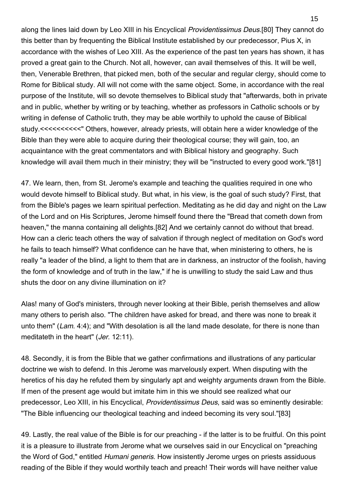along the lines laid down by Leo XIII in his Encyclical Providentissimus Deus.[80] They cannot do this better than by frequenting the Biblical Institute established by our predecessor, Pius X, in accordance with the wishes of Leo XIII. As the experience of the past ten years has shown, it has proved a great gain to the Church. Not all, however, can avail themselves of this. It will be well, then, Venerable Brethren, that picked men, both of the secular and regular clergy, should come to Rome for Biblical study. All will not come with the same object. Some, in accordance with the real purpose of the Institute, will so devote themselves to Biblical study that "afterwards, both in private and in public, whether by writing or by teaching, whether as professors in Catholic schools or by writing in defense of Catholic truth, they may be able worthily to uphold the cause of Biblical study.<<<<<<<<<<" Others, however, already priests, will obtain here a wider knowledge of the Bible than they were able to acquire during their theological course; they will gain, too, an acquaintance with the great commentators and with Biblical history and geography. Such knowledge will avail them much in their ministry; they will be "instructed to every good work."[81]

47. We learn, then, from St. Jerome's example and teaching the qualities required in one who would devote himself to Biblical study. But what, in his view, is the goal of such study? First, that from the Bible's pages we learn spiritual perfection. Meditating as he did day and night on the Law of the Lord and on His Scriptures, Jerome himself found there the "Bread that cometh down from heaven," the manna containing all delights.[82] And we certainly cannot do without that bread. How can a cleric teach others the way of salvation if through neglect of meditation on God's word he fails to teach himself? What confidence can he have that, when ministering to others, he is really "a leader of the blind, a light to them that are in darkness, an instructor of the foolish, having the form of knowledge and of truth in the law," if he is unwilling to study the said Law and thus shuts the door on any divine illumination on it?

Alas! many of God's ministers, through never looking at their Bible, perish themselves and allow many others to perish also. "The children have asked for bread, and there was none to break it unto them" (Lam. 4:4); and "With desolation is all the land made desolate, for there is none than meditateth in the heart" (Jer. 12:11).

48. Secondly, it is from the Bible that we gather confirmations and illustrations of any particular doctrine we wish to defend. In this Jerome was marvelously expert. When disputing with the heretics of his day he refuted them by singularly apt and weighty arguments drawn from the Bible. If men of the present age would but imitate him in this we should see realized what our predecessor, Leo XIII, in his Encyclical, Providentissimus Deus, said was so eminently desirable: "The Bible influencing our theological teaching and indeed becoming its very soul."[83]

49. Lastly, the real value of the Bible is for our preaching - if the latter is to be fruitful. On this point it is a pleasure to illustrate from Jerome what we ourselves said in our Encyclical on "preaching the Word of God," entitled Humani generis. How insistently Jerome urges on priests assiduous reading of the Bible if they would worthily teach and preach! Their words will have neither value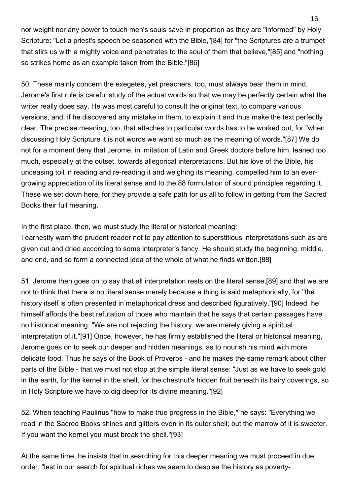nor weight nor any power to touch men's souls save in proportion as they are "informed" by Holy Scripture: "Let a priest's speech be seasoned with the Bible,"[84] for "the Scriptures are a trumpet that stirs us with a mighty voice and penetrates to the soul of them that believe,"[85] and "nothing so strikes home as an example taken from the Bible."[86]

50. These mainly concern the exegetes, yet preachers, too, must always bear them in mind. Jerome's first rule is careful study of the actual words so that we may be perfectly certain what the writer really does say. He was most careful to consult the original text, to compare various versions, and, if he discovered any mistake in them, to explain it and thus make the text perfectly clear. The precise meaning, too, that attaches to particular words has to be worked out, for "when discussing Holy Scripture it is not words we want so much as the meaning of words."[87] We do not for a moment deny that Jerome, in imitation of Latin and Greek doctors before him, leaned too much, especially at the outset, towards allegorical interpretations. But his love of the Bible, his unceasing toil in reading and re-reading it and weighing its meaning, compelled him to an evergrowing appreciation of its literal sense and to the 88 formulation of sound principles regarding it. These we set down here, for they provide a safe path for us all to follow in getting from the Sacred Books their full meaning.

In the first place, then, we must study the literal or historical meaning:

I earnestly warn the prudent reader not to pay attention to superstitious interpretations such as are given cut and dried according to some interpreter's fancy. He should study the beginning, middle, and end, and so form a connected idea of the whole of what he finds written.[88]

51. Jerome then goes on to say that all interpretation rests on the literal sense,[89] and that we are not to think that there is no literal sense merely because a thing is said metaphorically, for "the history itself is often presented in metaphorical dress and described figuratively."[90] Indeed, he himself affords the best refutation of those who maintain that he says that certain passages have no historical meaning: "We are not rejecting the history, we are merely giving a spiritual interpretation of it.''[91] Once, however, he has firmly established the literal or historical meaning, Jerome goes on to seek our deeper and hidden meanings, as to nourish his mind with more delicate food. Thus he says of the Book of Proverbs - and he makes the same remark about other parts of the Bible - that we must not stop at the simple literal sense: "Just as we have to seek gold in the earth, for the kernel in the shell, for the chestnut's hidden fruit beneath its hairy coverings, so in Holy Scripture we have to dig deep for its divine meaning."[92]

52. When teaching Paulinus "how to make true progress in the Bible," he says: "Everything we read in the Sacred Books shines and glitters even in its outer shell; but the marrow of it is sweeter. If you want the kernel you must break the shell."[93]

At the same time, he insists that in searching for this deeper meaning we must proceed in due order, "lest in our search for spiritual riches we seem to despise the history as poverty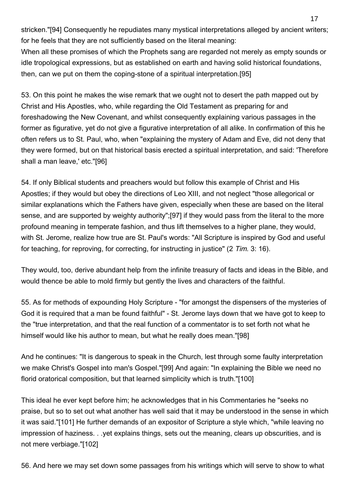stricken."[94] Consequently he repudiates many mystical interpretations alleged by ancient writers; for he feels that they are not sufficiently based on the literal meaning: When all these promises of which the Prophets sang are regarded not merely as empty sounds or idle tropological expressions, but as established on earth and having solid historical foundations, then, can we put on them the coping-stone of a spiritual interpretation.[95]

53. On this point he makes the wise remark that we ought not to desert the path mapped out by Christ and His Apostles, who, while regarding the Old Testament as preparing for and foreshadowing the New Covenant, and whilst consequently explaining various passages in the former as figurative, yet do not give a figurative interpretation of all alike. In confirmation of this he often refers us to St. Paul, who, when "explaining the mystery of Adam and Eve, did not deny that they were formed, but on that historical basis erected a spiritual interpretation, and said: 'Therefore shall a man leave,' etc."[96]

54. If only Biblical students and preachers would but follow this example of Christ and His Apostles; if they would but obey the directions of Leo XIII, and not neglect "those allegorical or similar explanations which the Fathers have given, especially when these are based on the literal sense, and are supported by weighty authority";[97] if they would pass from the literal to the more profound meaning in temperate fashion, and thus lift themselves to a higher plane, they would, with St. Jerome, realize how true are St. Paul's words: "All Scripture is inspired by God and useful for teaching, for reproving, for correcting, for instructing in justice" (2 Tim. 3: 16).

They would, too, derive abundant help from the infinite treasury of facts and ideas in the Bible, and would thence be able to mold firmly but gently the lives and characters of the faithful.

55. As for methods of expounding Holy Scripture - "for amongst the dispensers of the mysteries of God it is required that a man be found faithful" - St. Jerome lays down that we have got to keep to the "true interpretation, and that the real function of a commentator is to set forth not what he himself would like his author to mean, but what he really does mean."[98]

And he continues: "It is dangerous to speak in the Church, lest through some faulty interpretation we make Christ's Gospel into man's Gospel."[99] And again: "In explaining the Bible we need no florid oratorical composition, but that learned simplicity which is truth."[100]

This ideal he ever kept before him; he acknowledges that in his Commentaries he "seeks no praise, but so to set out what another has well said that it may be understood in the sense in which it was said."[101] He further demands of an expositor of Scripture a style which, "while leaving no impression of haziness. . .yet explains things, sets out the meaning, clears up obscurities, and is not mere verbiage."[102]

56. And here we may set down some passages from his writings which will serve to show to what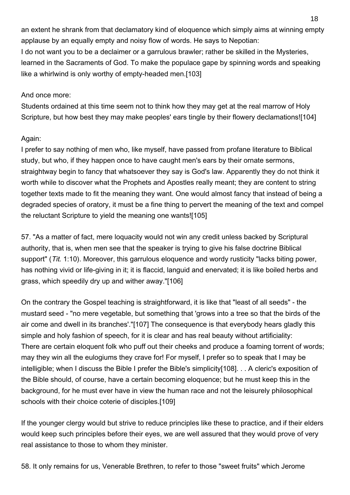an extent he shrank from that declamatory kind of eloquence which simply aims at winning empty applause by an equally empty and noisy flow of words. He says to Nepotian: I do not want you to be a declaimer or a garrulous brawler; rather be skilled in the Mysteries, learned in the Sacraments of God. To make the populace gape by spinning words and speaking like a whirlwind is only worthy of empty-headed men.[103]

### And once more:

Students ordained at this time seem not to think how they may get at the real marrow of Holy Scripture, but how best they may make peoples' ears tingle by their flowery declamations![104]

### Again:

I prefer to say nothing of men who, like myself, have passed from profane literature to Biblical study, but who, if they happen once to have caught men's ears by their ornate sermons, straightway begin to fancy that whatsoever they say is God's law. Apparently they do not think it worth while to discover what the Prophets and Apostles really meant; they are content to string together texts made to fit the meaning they want. One would almost fancy that instead of being a degraded species of oratory, it must be a fine thing to pervert the meaning of the text and compel the reluctant Scripture to yield the meaning one wants![105]

57. "As a matter of fact, mere loquacity would not win any credit unless backed by Scriptural authority, that is, when men see that the speaker is trying to give his false doctrine Biblical support" (Tit. 1:10). Moreover, this garrulous eloquence and wordy rusticity "lacks biting power, has nothing vivid or life-giving in it; it is flaccid, languid and enervated; it is like boiled herbs and grass, which speedily dry up and wither away."[106]

On the contrary the Gospel teaching is straightforward, it is like that "least of all seeds" - the mustard seed - "no mere vegetable, but something that 'grows into a tree so that the birds of the air come and dwell in its branches'."[107] The consequence is that everybody hears gladly this simple and holy fashion of speech, for it is clear and has real beauty without artificiality: There are certain eloquent folk who puff out their cheeks and produce a foaming torrent of words; may they win all the eulogiums they crave for! For myself, I prefer so to speak that I may be intelligible; when I discuss the Bible I prefer the Bible's simplicity[108]. . . A cleric's exposition of the Bible should, of course, have a certain becoming eloquence; but he must keep this in the background, for he must ever have in view the human race and not the leisurely philosophical schools with their choice coterie of disciples.[109]

If the younger clergy would but strive to reduce principles like these to practice, and if their elders would keep such principles before their eyes, we are well assured that they would prove of very real assistance to those to whom they minister.

58. It only remains for us, Venerable Brethren, to refer to those "sweet fruits" which Jerome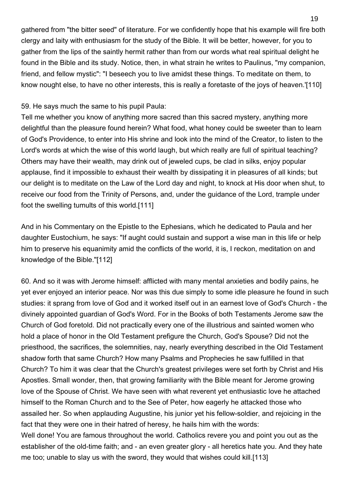gathered from "the bitter seed" of literature. For we confidently hope that his example will fire both clergy and laity with enthusiasm for the study of the Bible. It will be better, however, for you to gather from the lips of the saintly hermit rather than from our words what real spiritual delight he found in the Bible and its study. Notice, then, in what strain he writes to Paulinus, "my companion, friend, and fellow mystic": "I beseech you to live amidst these things. To meditate on them, to know nought else, to have no other interests, this is really a foretaste of the joys of heaven.'[110]

#### 59. He says much the same to his pupil Paula:

Tell me whether you know of anything more sacred than this sacred mystery, anything more delightful than the pleasure found herein? What food, what honey could be sweeter than to learn of God's Providence, to enter into His shrine and look into the mind of the Creator, to listen to the Lord's words at which the wise of this world laugh, but which really are full of spiritual teaching? Others may have their wealth, may drink out of jeweled cups, be clad in silks, enjoy popular applause, find it impossible to exhaust their wealth by dissipating it in pleasures of all kinds; but our delight is to meditate on the Law of the Lord day and night, to knock at His door when shut, to receive our food from the Trinity of Persons, and, under the guidance of the Lord, trample under foot the swelling tumults of this world.[111]

And in his Commentary on the Epistle to the Ephesians, which he dedicated to Paula and her daughter Eustochium, he says: "If aught could sustain and support a wise man in this life or help him to preserve his equanimity amid the conflicts of the world, it is, I reckon, meditation on and knowledge of the Bible."[112]

60. And so it was with Jerome himself: afflicted with many mental anxieties and bodily pains, he yet ever enjoyed an interior peace. Nor was this due simply to some idle pleasure he found in such studies: it sprang from love of God and it worked itself out in an earnest love of God's Church - the divinely appointed guardian of God's Word. For in the Books of both Testaments Jerome saw the Church of God foretold. Did not practically every one of the illustrious and sainted women who hold a place of honor in the Old Testament prefigure the Church, God's Spouse? Did not the priesthood, the sacrifices, the solemnities, nay, nearly everything described in the Old Testament shadow forth that same Church? How many Psalms and Prophecies he saw fulfilled in that Church? To him it was clear that the Church's greatest privileges were set forth by Christ and His Apostles. Small wonder, then, that growing familiarity with the Bible meant for Jerome growing love of the Spouse of Christ. We have seen with what reverent yet enthusiastic love he attached himself to the Roman Church and to the See of Peter, how eagerly he attacked those who assailed her. So when applauding Augustine, his junior yet his fellow-soldier, and rejoicing in the fact that they were one in their hatred of heresy, he hails him with the words:

Well done! You are famous throughout the world. Catholics revere you and point you out as the establisher of the old-time faith; and - an even greater glory - all heretics hate you. And they hate me too; unable to slay us with the sword, they would that wishes could kill.[113]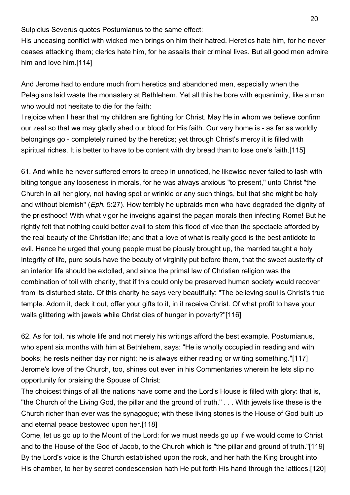Sulpicius Severus quotes Postumianus to the same effect:

His unceasing conflict with wicked men brings on him their hatred. Heretics hate him, for he never ceases attacking them; clerics hate him, for he assails their criminal lives. But all good men admire him and love him.[114]

And Jerome had to endure much from heretics and abandoned men, especially when the Pelagians laid waste the monastery at Bethlehem. Yet all this he bore with equanimity, like a man who would not hesitate to die for the faith:

I rejoice when I hear that my children are fighting for Christ. May He in whom we believe confirm our zeal so that we may gladly shed our blood for His faith. Our very home is - as far as worldly belongings go - completely ruined by the heretics; yet through Christ's mercy it is filled with spiritual riches. It is better to have to be content with dry bread than to lose one's faith.[115]

61. And while he never suffered errors to creep in unnoticed, he likewise never failed to lash with biting tongue any looseness in morals, for he was always anxious "to present," unto Christ "the Church in all her glory, not having spot or wrinkle or any such things, but that she might be holy and without blemish" (Eph. 5:27). How terribly he upbraids men who have degraded the dignity of the priesthood! With what vigor he inveighs against the pagan morals then infecting Rome! But he rightly felt that nothing could better avail to stem this flood of vice than the spectacle afforded by the real beauty of the Christian life; and that a love of what is really good is the best antidote to evil. Hence he urged that young people must be piously brought up, the married taught a holy integrity of life, pure souls have the beauty of virginity put before them, that the sweet austerity of an interior life should be extolled, and since the primal law of Christian religion was the combination of toil with charity, that if this could only be preserved human society would recover from its disturbed state. Of this charity he says very beautifully: "The believing soul is Christ's true temple. Adorn it, deck it out, offer your gifts to it, in it receive Christ. Of what profit to have your walls glittering with jewels while Christ dies of hunger in poverty?"[116]

62. As for toil, his whole life and not merely his writings afford the best example. Postumianus, who spent six months with him at Bethlehem, says: "He is wholly occupied in reading and with books; he rests neither day nor night; he is always either reading or writing something."[117] Jerome's love of the Church, too, shines out even in his Commentaries wherein he lets slip no opportunity for praising the Spouse of Christ:

The choicest things of all the nations have come and the Lord's House is filled with glory: that is, "the Church of the Living God, the pillar and the ground of truth." . . . With jewels like these is the Church richer than ever was the synagogue; with these living stones is the House of God built up and eternal peace bestowed upon her.[118]

Come, let us go up to the Mount of the Lord: for we must needs go up if we would come to Christ and to the House of the God of Jacob, to the Church which is "the pillar and ground of truth."[119] By the Lord's voice is the Church established upon the rock, and her hath the King brought into His chamber, to her by secret condescension hath He put forth His hand through the lattices.[120]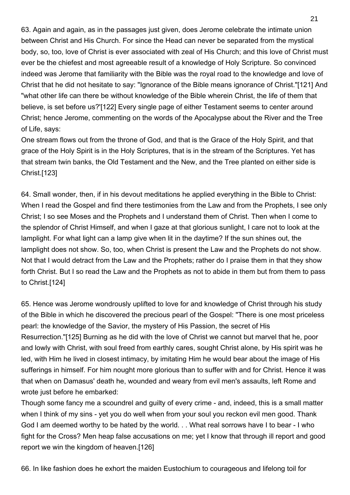63. Again and again, as in the passages just given, does Jerome celebrate the intimate union between Christ and His Church. For since the Head can never be separated from the mystical body, so, too, love of Christ is ever associated with zeal of His Church; and this love of Christ must ever be the chiefest and most agreeable result of a knowledge of Holy Scripture. So convinced indeed was Jerome that familiarity with the Bible was the royal road to the knowledge and love of Christ that he did not hesitate to say: "Ignorance of the Bible means ignorance of Christ."[121] And "what other life can there be without knowledge of the Bible wherein Christ, the life of them that believe, is set before us?'[122] Every single page of either Testament seems to center around Christ; hence Jerome, commenting on the words of the Apocalypse about the River and the Tree of Life, says:

One stream flows out from the throne of God, and that is the Grace of the Holy Spirit, and that grace of the Holy Spirit is in the Holy Scriptures, that is in the stream of the Scriptures. Yet has that stream twin banks, the Old Testament and the New, and the Tree planted on either side is Christ.[123]

64. Small wonder, then, if in his devout meditations he applied everything in the Bible to Christ: When I read the Gospel and find there testimonies from the Law and from the Prophets, I see only Christ; I so see Moses and the Prophets and I understand them of Christ. Then when I come to the splendor of Christ Himself, and when I gaze at that glorious sunlight, I care not to look at the lamplight. For what light can a lamp give when lit in the daytime? If the sun shines out, the lamplight does not show. So, too, when Christ is present the Law and the Prophets do not show. Not that I would detract from the Law and the Prophets; rather do I praise them in that they show forth Christ. But I so read the Law and the Prophets as not to abide in them but from them to pass to Christ.[124]

65. Hence was Jerome wondrously uplifted to love for and knowledge of Christ through his study of the Bible in which he discovered the precious pearl of the Gospel: "There is one most priceless pearl: the knowledge of the Savior, the mystery of His Passion, the secret of His Resurrection."[125] Burning as he did with the love of Christ we cannot but marvel that he, poor and lowly with Christ, with soul freed from earthly cares, sought Christ alone, by His spirit was he led, with Him he lived in closest intimacy, by imitating Him he would bear about the image of His sufferings in himself. For him nought more glorious than to suffer with and for Christ. Hence it was that when on Damasus' death he, wounded and weary from evil men's assaults, left Rome and wrote just before he embarked:

Though some fancy me a scoundrel and guilty of every crime - and, indeed, this is a small matter when I think of my sins - yet you do well when from your soul you reckon evil men good. Thank God I am deemed worthy to be hated by the world. . . What real sorrows have I to bear - I who fight for the Cross? Men heap false accusations on me; yet I know that through ill report and good report we win the kingdom of heaven.[126]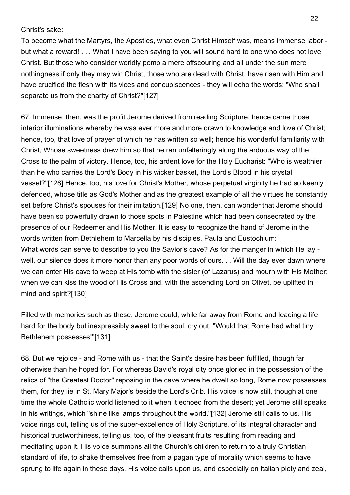Christ's sake:

To become what the Martyrs, the Apostles, what even Christ Himself was, means immense labor but what a reward! . . . What I have been saying to you will sound hard to one who does not love Christ. But those who consider worldly pomp a mere offscouring and all under the sun mere nothingness if only they may win Christ, those who are dead with Christ, have risen with Him and have crucified the flesh with its vices and concupiscences - they will echo the words: "Who shall separate us from the charity of Christ?"[127]

67. Immense, then, was the profit Jerome derived from reading Scripture; hence came those interior illuminations whereby he was ever more and more drawn to knowledge and love of Christ; hence, too, that love of prayer of which he has written so well; hence his wonderful familiarity with Christ, Whose sweetness drew him so that he ran unfalteringly along the arduous way of the Cross to the palm of victory. Hence, too, his ardent love for the Holy Eucharist: "Who is wealthier than he who carries the Lord's Body in his wicker basket, the Lord's Blood in his crystal vessel?"[128] Hence, too, his love for Christ's Mother, whose perpetual virginity he had so keenly defended, whose title as God's Mother and as the greatest example of all the virtues he constantly set before Christ's spouses for their imitation.[129] No one, then, can wonder that Jerome should have been so powerfully drawn to those spots in Palestine which had been consecrated by the presence of our Redeemer and His Mother. It is easy to recognize the hand of Jerome in the words written from Bethlehem to Marcella by his disciples, Paula and Eustochium: What words can serve to describe to you the Savior's cave? As for the manger in which He lay well, our silence does it more honor than any poor words of ours. . . Will the day ever dawn where we can enter His cave to weep at His tomb with the sister (of Lazarus) and mourn with His Mother; when we can kiss the wood of His Cross and, with the ascending Lord on Olivet, be uplifted in mind and spirit?[130]

Filled with memories such as these, Jerome could, while far away from Rome and leading a life hard for the body but inexpressibly sweet to the soul, cry out: "Would that Rome had what tiny Bethlehem possesses!"[131]

68. But we rejoice - and Rome with us - that the Saint's desire has been fulfilled, though far otherwise than he hoped for. For whereas David's royal city once gloried in the possession of the relics of "the Greatest Doctor" reposing in the cave where he dwelt so long, Rome now possesses them, for they lie in St. Mary Major's beside the Lord's Crib. His voice is now still, though at one time the whole Catholic world listened to it when it echoed from the desert; yet Jerome still speaks in his writings, which "shine like lamps throughout the world."[132] Jerome still calls to us. His voice rings out, telling us of the super-excellence of Holy Scripture, of its integral character and historical trustworthiness, telling us, too, of the pleasant fruits resulting from reading and meditating upon it. His voice summons all the Church's children to return to a truly Christian standard of life, to shake themselves free from a pagan type of morality which seems to have sprung to life again in these days. His voice calls upon us, and especially on Italian piety and zeal,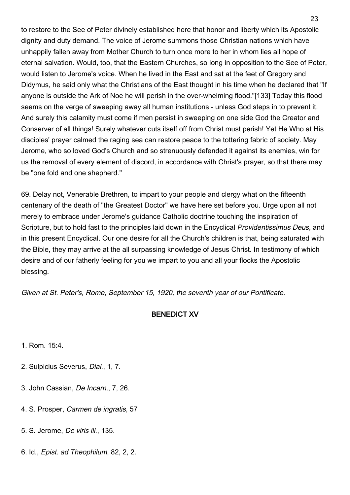to restore to the See of Peter divinely established here that honor and liberty which its Apostolic dignity and duty demand. The voice of Jerome summons those Christian nations which have unhappily fallen away from Mother Church to turn once more to her in whom lies all hope of eternal salvation. Would, too, that the Eastern Churches, so long in opposition to the See of Peter, would listen to Jerome's voice. When he lived in the East and sat at the feet of Gregory and Didymus, he said only what the Christians of the East thought in his time when he declared that "If anyone is outside the Ark of Noe he will perish in the over-whelming flood."[133] Today this flood seems on the verge of sweeping away all human institutions - unless God steps in to prevent it. And surely this calamity must come if men persist in sweeping on one side God the Creator and Conserver of all things! Surely whatever cuts itself off from Christ must perish! Yet He Who at His disciples' prayer calmed the raging sea can restore peace to the tottering fabric of society. May Jerome, who so loved God's Church and so strenuously defended it against its enemies, win for us the removal of every element of discord, in accordance with Christ's prayer, so that there may be "one fold and one shepherd."

69. Delay not, Venerable Brethren, to impart to your people and clergy what on the fifteenth centenary of the death of "the Greatest Doctor" we have here set before you. Urge upon all not merely to embrace under Jerome's guidance Catholic doctrine touching the inspiration of Scripture, but to hold fast to the principles laid down in the Encyclical Providentissimus Deus, and in this present Encyclical. Our one desire for all the Church's children is that, being saturated with the Bible, they may arrive at the all surpassing knowledge of Jesus Christ. In testimony of which desire and of our fatherly feeling for you we impart to you and all your flocks the Apostolic blessing.

Given at St. Peter's, Rome, September 15, 1920, the seventh year of our Pontificate.

## BENEDICT XV

1. Rom. 15:4.

- 2. Sulpicius Severus, Dial., 1, 7.
- 3. John Cassian, De Incarn., 7, 26.
- 4. S. Prosper, Carmen de ingratis, 57
- 5. S. Jerome, De viris ill., 135.
- 6. Id., Epist. ad Theophilum, 82, 2, 2.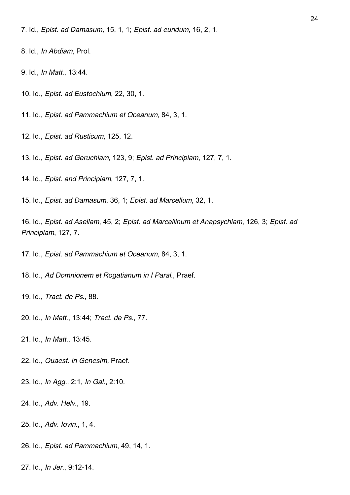7. Id., Epist. ad Damasum, 15, 1, 1; Epist. ad eundum, 16, 2, 1.

8. Id., In Abdiam, Prol.

9. Id., In Matt., 13:44.

10. Id., Epist. ad Eustochium, 22, 30, 1.

11. Id., Epist. ad Pammachium et Oceanum, 84, 3, 1.

12. Id., Epist. ad Rusticum, 125, 12.

13. Id., Epist. ad Geruchiam, 123, 9; Epist. ad Principiam, 127, 7, 1.

14. Id., Epist. and Principiam, 127, 7, 1.

15. Id., Epist. ad Damasum, 36, 1; Epist. ad Marcellum, 32, 1.

16. Id., Epist. ad Asellam, 45, 2; Epist. ad Marcellinum et Anapsychiam, 126, 3; Epist. ad Principiam, 127, 7.

17. Id., Epist. ad Pammachium et Oceanum, 84, 3, 1.

18. Id., Ad Domnionem et Rogatianum in I Paral., Praef.

19. Id., Tract. de Ps., 88.

20. Id., In Matt., 13:44; Tract. de Ps., 77.

21. Id., In Matt., 13:45.

22. Id., Quaest. in Genesim, Praef.

23. Id., In Agg., 2:1, In Gal., 2:10.

24. Id., Adv. Helv., 19.

25. Id., Adv. Iovin., 1, 4.

26. Id., Epist. ad Pammachium, 49, 14, 1.

27. Id., In Jer., 9:12-14.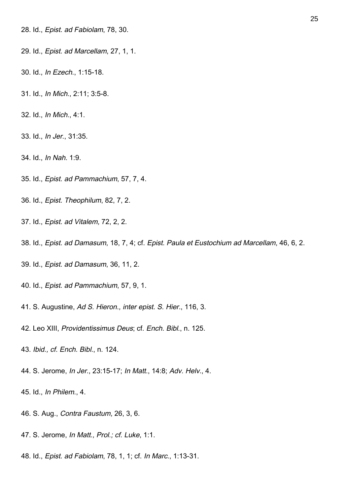28. Id., Epist. ad Fabiolam, 78, 30.

- 29. Id., Epist. ad Marcellam, 27, 1, 1.
- 30. Id., In Ezech., 1:15-18.
- 31. Id., In Mich., 2:11; 3:5-8.
- 32. Id., In Mich., 4:1.
- 33. Id., In Jer., 31:35.
- 34. Id., In Nah. 1:9.
- 35. Id., Epist. ad Pammachium, 57, 7, 4.
- 36. Id., Epist. Theophilum, 82, 7, 2.
- 37. Id., Epist. ad Vitalem, 72, 2, 2.
- 38. Id., Epist. ad Damasum, 18, 7, 4; cf. Epist. Paula et Eustochium ad Marcellam, 46, 6, 2.
- 39. Id., Epist. ad Damasum, 36, 11, 2.
- 40. Id., Epist. ad Pammachium, 57, 9, 1.
- 41. S. Augustine, Ad S. Hieron., inter epist. S. Hier., 116, 3.
- 42. Leo XIII, Providentissimus Deus; cf. Ench. Bibl., n. 125.
- 43. Ibid., cf. Ench. Bibl., n. 124.
- 44. S. Jerome, In Jer., 23:15-17; In Matt., 14:8; Adv. Helv., 4.
- 45. Id., In Philem., 4.
- 46. S. Aug., Contra Faustum, 26, 3, 6.
- 47. S. Jerome, In Matt., Prol.; cf. Luke, 1:1.
- 48. Id., Epist. ad Fabiolam, 78, 1, 1; cf. In Marc., 1:13-31.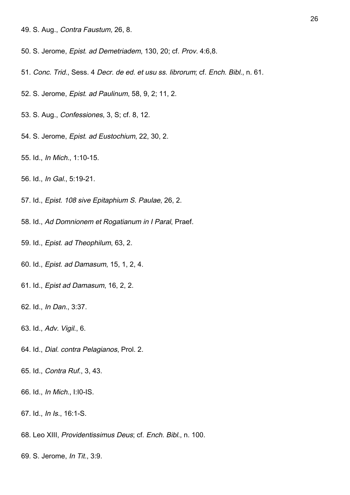- 49. S. Aug., Contra Faustum, 26, 8.
- 50. S. Jerome, Epist. ad Demetriadem, 130, 20; cf. Prov. 4:6,8.
- 51. Conc. Trid., Sess. 4 Decr. de ed. et usu ss. Iibrorum; cf. Ench. Bibl., n. 61.
- 52. S. Jerome, Epist. ad Paulinum, 58, 9, 2; 11, 2.
- 53. S. Aug., Confessiones, 3, S; cf. 8, 12.
- 54. S. Jerome, Epist. ad Eustochium, 22, 30, 2.
- 55. Id., In Mich., 1:10-15.
- 56. Id., In Gal., 5:19-21.
- 57. Id., Epist. 108 sive Epitaphium S. Paulae, 26, 2.
- 58. Id., Ad Domnionem et Rogatianum in I Paral, Praef.
- 59. Id., Epist. ad Theophilum, 63, 2.
- 60. Id., Epist. ad Damasum, 15, 1, 2, 4.
- 61. Id., Epist ad Damasum, 16, 2, 2.
- 62. Id., In Dan., 3:37.
- 63. Id., Adv. Vigil., 6.
- 64. Id., Dial. contra Pelagianos, Prol. 2.
- 65. Id., Contra Ruf., 3, 43.
- 66. Id., In Mich., I:I0-IS.
- 67. Id., In Is., 16:1-S.
- 68. Leo XIII, Providentissimus Deus; cf. Ench. Bibl., n. 100.
- 69. S. Jerome, In Tit., 3:9.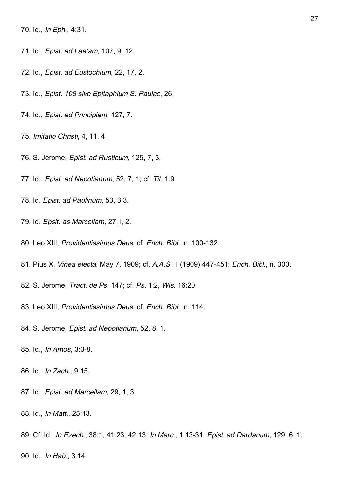70. Id., In Eph., 4:31.

- 71. Id., Epist. ad Laetam, 107, 9, 12.
- 72. Id., Epist. ad Eustochium, 22, 17, 2.
- 73. Id., Epist. 108 sive Epitaphium S. Paulae, 26.
- 74. Id., Epist. ad Principiam, 127, 7.
- 75. Imitatio Christi, 4, 11, 4.
- 76. S. Jerome, Epist. ad Rusticum, 125, 7, 3.
- 77. Id., Epist. ad Nepotianum, 52, 7, 1; cf. Tit. 1:9.
- 78. Id. Epist. ad Paulinum, 53, 3 3.
- 79. Id. Epsit. as Marcellam, 27, i, 2.
- 80. Leo XIII, Providentissimus Deus; cf. Ench. Bibl., n. 100-132.
- 81. Pius X, Vinea electa, May 7, 1909; cf. A.A.S., I (1909) 447-451; Ench. Bibl., n. 300.
- 82. S. Jerome, Tract. de Ps. 147; cf. Ps. 1:2, Wis. 16:20.
- 83. Leo XIII, Providentissimus Deus; cf. Ench. Bibl., n. 114.
- 84. S. Jerome, Epist. ad Nepotianum, 52, 8, 1.
- 85. Id., In Amos, 3:3-8.
- 86. Id., In Zach., 9:15.
- 87. Id., Epist. ad Marcellam, 29, 1, 3.
- 88. Id., In Matt., 25:13.
- 89. Cf. Id., In Ezech., 38:1, 41:23, 42:13; In Marc., 1:13-31; Epist. ad Dardanum, 129, 6, 1. 90. Id., In Hab., 3:14.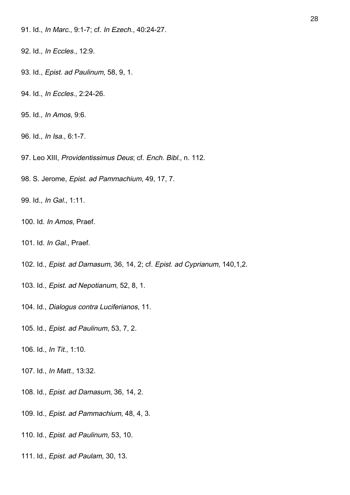91. Id., In Marc., 9:1-7; cf. In Ezech., 40:24-27.

92. Id., In Eccles., 12:9.

- 93. Id., Epist. ad Paulinum, 58, 9, 1.
- 94. Id., In Eccles., 2:24-26.
- 95. Id., In Amos, 9:6.
- 96. Id., In Isa., 6:1-7.
- 97. Leo XIII, Providentissimus Deus; cf. Ench. Bibl., n. 112.
- 98. S. Jerome, Epist. ad Pammachium, 49, 17, 7.
- 99. Id., In Gal., 1:11.
- 100. Id. In Amos, Praef.
- 101. Id. In Gal., Praef.
- 102. Id., Epist. ad Damasum, 36, 14, 2; cf. Epist. ad Cyprianum, 140,1,2.
- 103. Id., Epist. ad Nepotianum, 52, 8, 1.
- 104. Id., Dialogus contra Luciferianos, 11.
- 105. Id., Epist. ad Paulinum, 53, 7, 2.
- 106. Id., In Tit., 1:10.
- 107. Id., In Matt., 13:32.
- 108. Id., Epist. ad Damasum, 36, 14, 2.
- 109. Id., Epist. ad Pammachium, 48, 4, 3.
- 110. Id., Epist. ad Paulinum, 53, 10.
- 111. Id., Epist. ad Paulam, 30, 13.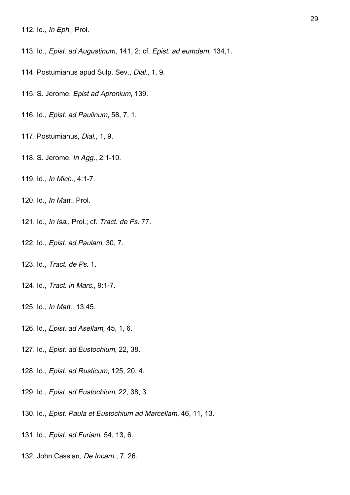112. Id., In Eph., Prol.

- 113. Id., Epist. ad Augustinum, 141, 2; cf. Epist. ad eumdem, 134,1.
- 114. Postumianus apud Sulp. Sev., Dial., 1, 9.
- 115. S. Jerome, Epist ad Apronium, 139.
- 116. Id., Epist. ad Paulinum, 58, 7, 1.
- 117. Postumianus, Dial., 1, 9.
- 118. S. Jerome, *In Agg.*, 2:1-10.
- 119. Id., In Mich., 4:1-7.
- 120. Id., In Matt., Prol.
- 121. Id., In Isa., Prol.; cf. Tract. de Ps. 77.
- 122. Id., Epist. ad Paulam, 30, 7.
- 123. Id., Tract. de Ps. 1.
- 124. Id., Tract. in Marc., 9:1-7.
- 125. Id., In Matt., 13:45.
- 126. Id., Epist. ad Asellam, 45, 1, 6.
- 127. Id., Epist. ad Eustochium, 22, 38.
- 128. Id., Epist. ad Rusticum, 125, 20, 4.
- 129. Id., Epist. ad Eustochium, 22, 38, 3.
- 130. Id., Epist. Paula et Eustochium ad Marcellam, 46, 11, 13.
- 131. Id., Epist. ad Furiam, 54, 13, 6.
- 132. John Cassian, De Incarn., 7, 26.